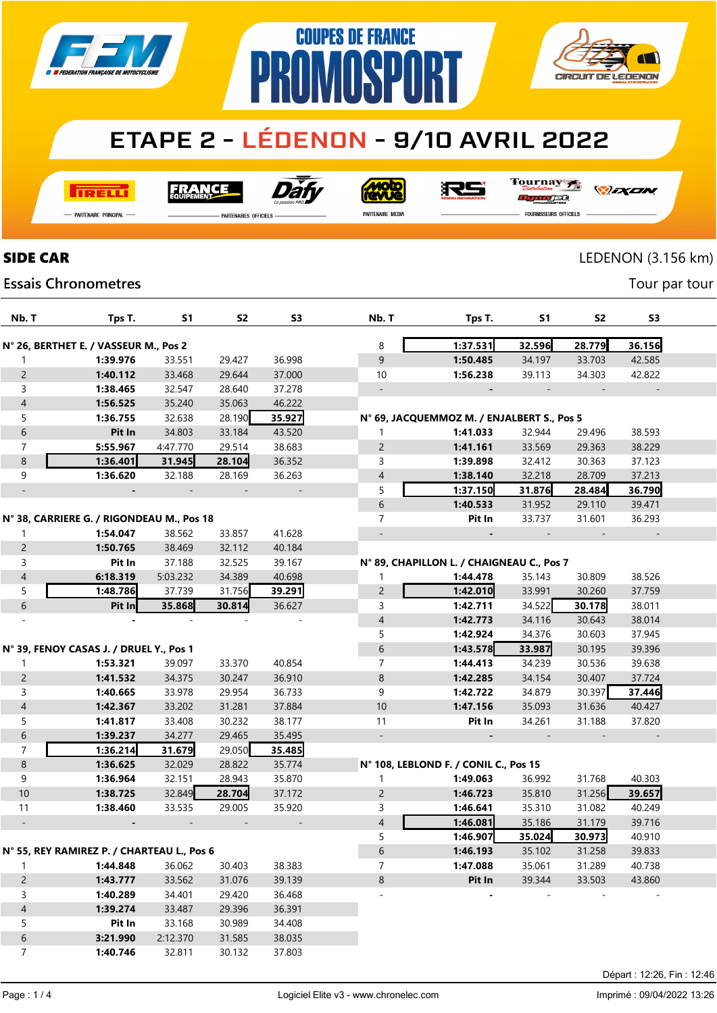



# **ETAPE 2 - LÉDENON - 9/10 AVRIL 2022**

**I तत्वच**र्च

Dài **FRANCE** 

**Moto** 

Tournay orse

*DEXEN* 

- Partenaire Principal

**Essais Chronometres** 

**PARTENAIRES OFFICIELS** 

PR

PARTENAIRE MEDIA

FOURNISSEURS OFFICIELS

### SIDE CAR LEDENON (3.156 km)

Tour par tour

| Nb. T          | Tps T.                                     | S1       | S2     | S <sub>3</sub> | Nb. T          | Tps T.                                     | S1     | S2     | S3     |
|----------------|--------------------------------------------|----------|--------|----------------|----------------|--------------------------------------------|--------|--------|--------|
|                | N° 26, BERTHET E. / VASSEUR M., Pos 2      |          |        |                | 8              | 1:37.531                                   | 32.596 | 28.779 | 36.156 |
| 1              | 1:39.976                                   | 33.551   | 29.427 | 36.998         | 9              | 1:50.485                                   | 34.197 | 33.703 | 42.585 |
| $\overline{2}$ | 1:40.112                                   | 33.468   | 29.644 | 37.000         | 10             | 1:56.238                                   | 39.113 | 34.303 | 42.822 |
| 3              | 1:38.465                                   | 32.547   | 28.640 | 37.278         |                |                                            |        |        |        |
| $\overline{4}$ | 1:56.525                                   | 35.240   | 35.063 | 46.222         |                |                                            |        |        |        |
| 5              | 1:36.755                                   | 32.638   | 28.190 | 35.927         |                | N° 69, JACQUEMMOZ M. / ENJALBERT S., Pos 5 |        |        |        |
| 6              | Pit In                                     | 34.803   | 33.184 | 43.520         | 1              | 1:41.033                                   | 32.944 | 29.496 | 38.593 |
| 7              | 5:55.967                                   | 4:47.770 | 29.514 | 38.683         | $\overline{2}$ | 1:41.161                                   | 33.569 | 29.363 | 38.229 |
| 8              | 1:36.401                                   | 31.945   | 28.104 | 36.352         | 3              | 1:39.898                                   | 32.412 | 30.363 | 37.123 |
| 9              | 1:36.620                                   | 32.188   | 28.169 | 36.263         | 4              | 1:38.140                                   | 32.218 | 28.709 | 37.213 |
|                |                                            |          |        |                | 5              | 1:37.150                                   | 31.876 | 28.484 | 36.790 |
|                |                                            |          |        |                | 6              | 1:40.533                                   | 31.952 | 29.110 | 39.471 |
|                | N° 38, CARRIERE G. / RIGONDEAU M., Pos 18  |          |        |                | 7              | Pit In                                     | 33.737 | 31.601 | 36.293 |
| 1              | 1:54.047                                   | 38.562   | 33.857 | 41.628         |                |                                            |        |        |        |
| $\overline{2}$ | 1:50.765                                   | 38.469   | 32.112 | 40.184         |                |                                            |        |        |        |
| 3              | Pit In                                     | 37.188   | 32.525 | 39.167         |                | N° 89, CHAPILLON L. / CHAIGNEAU C., Pos 7  |        |        |        |
| $\overline{4}$ | 6:18.319                                   | 5:03.232 | 34.389 | 40.698         | 1              | 1:44.478                                   | 35.143 | 30.809 | 38.526 |
| 5              | 1:48.786                                   | 37.739   | 31.756 | 39.291         | $\overline{2}$ | 1:42.010                                   | 33.991 | 30.260 | 37.759 |
| 6              | Pit In                                     | 35.868   | 30.814 | 36.627         | 3              | 1:42.711                                   | 34.522 | 30.178 | 38.011 |
|                |                                            |          |        |                | 4              | 1:42.773                                   | 34.116 | 30.643 | 38.014 |
|                |                                            |          |        |                | 5              | 1:42.924                                   | 34.376 | 30.603 | 37.945 |
|                | N° 39, FENOY CASAS J. / DRUEL Y., Pos 1    |          |        |                | 6              | 1:43.578                                   | 33.987 | 30.195 | 39.396 |
| 1              | 1:53.321                                   | 39.097   | 33.370 | 40.854         | $\overline{7}$ | 1:44.413                                   | 34.239 | 30.536 | 39.638 |
| $\overline{c}$ | 1:41.532                                   | 34.375   | 30.247 | 36.910         | 8              | 1:42.285                                   | 34.154 | 30.407 | 37.724 |
| 3              | 1:40.665                                   | 33.978   | 29.954 | 36.733         | 9              | 1:42.722                                   | 34.879 | 30.397 | 37.446 |
| $\overline{4}$ | 1:42.367                                   | 33.202   | 31.281 | 37.884         | 10             | 1:47.156                                   | 35.093 | 31.636 | 40.427 |
| 5              | 1:41.817                                   | 33.408   | 30.232 | 38.177         | 11             | Pit In                                     | 34.261 | 31.188 | 37.820 |
| 6              | 1:39.237                                   | 34.277   | 29.465 | 35.495         |                |                                            |        |        |        |
| $\overline{7}$ | 1:36.214                                   | 31.679   | 29.050 | 35.485         |                |                                            |        |        |        |
| 8              | 1:36.625                                   | 32.029   | 28.822 | 35.774         |                | N° 108, LEBLOND F. / CONIL C., Pos 15      |        |        |        |
| 9              | 1:36.964                                   | 32.151   | 28.943 | 35.870         | 1              | 1:49.063                                   | 36.992 | 31.768 | 40.303 |
| 10             | 1:38.725                                   | 32.849   | 28.704 | 37.172         | $\overline{2}$ | 1:46.723                                   | 35.810 | 31.256 | 39.657 |
| 11             | 1:38.460                                   | 33.535   | 29.005 | 35.920         | 3              | 1:46.641                                   | 35.310 | 31.082 | 40.249 |
|                |                                            |          |        |                | 4              | 1:46.081                                   | 35.186 | 31.179 | 39.716 |
|                |                                            |          |        |                | 5              | 1:46.907                                   | 35.024 | 30.973 | 40.910 |
|                | N° 55, REY RAMIREZ P. / CHARTEAU L., Pos 6 |          |        |                | 6              | 1:46.193                                   | 35.102 | 31.258 | 39.833 |
| 1              | 1:44.848                                   | 36.062   | 30.403 | 38.383         | 7              | 1:47.088                                   | 35.061 | 31.289 | 40.738 |
| $\overline{2}$ | 1:43.777                                   | 33.562   | 31.076 | 39.139         | 8              | Pit In                                     | 39.344 | 33.503 | 43.860 |
| 3              | 1:40.289                                   | 34.401   | 29.420 | 36.468         |                |                                            |        |        |        |
| $\overline{4}$ | 1:39.274                                   | 33.487   | 29.396 | 36.391         |                |                                            |        |        |        |
| 5              | Pit In                                     | 33.168   | 30.989 | 34.408         |                |                                            |        |        |        |
| 6              | 3:21.990                                   | 2:12.370 | 31.585 | 38.035         |                |                                            |        |        |        |
| 7              | 1:40.746                                   | 32.811   | 30.132 | 37.803         |                |                                            |        |        |        |
|                |                                            |          |        |                |                |                                            |        |        |        |

RS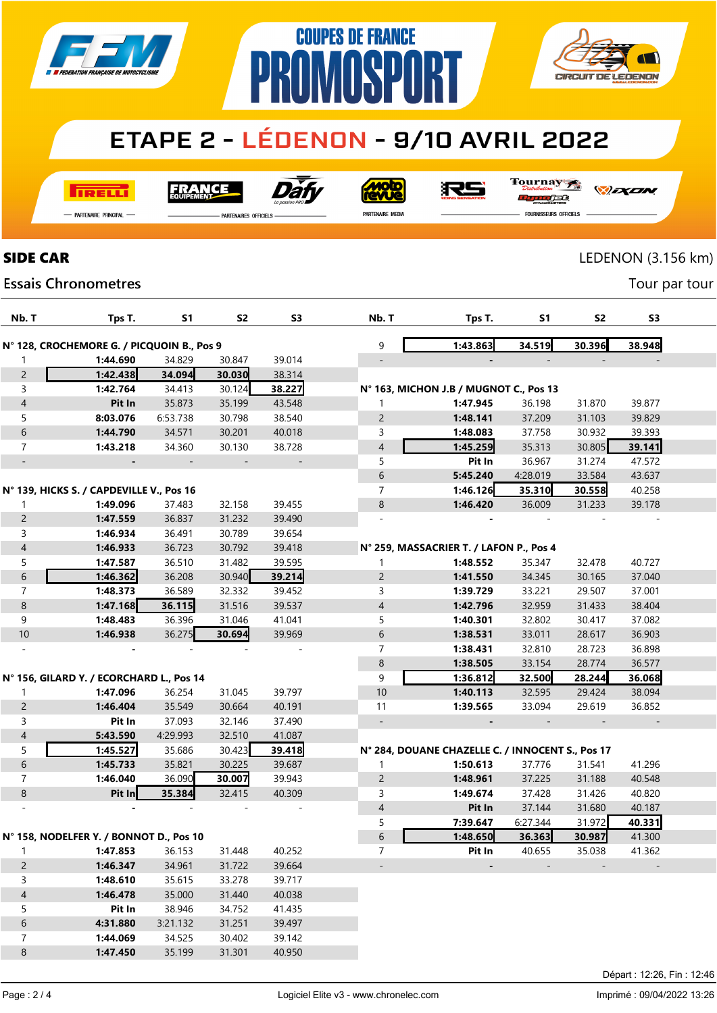



# **ETAPE 2 - LÉDENON - 9/10 AVRIL 2022**

**COUPES DE FRANCE** 

**MASP** 

**I तत्वच**र्च

Dàt **FRANCE** 

<u>ajon</u>

RS

Tournay *DEXEN* JEG

- Partenaire Principal

PARTENAIRES OFFICIELS

PR

PARTENAIRE MEDIA

FOURNISSEURS OFFICIELS

LEDENON (3.156 km)

Tour par tour

#### **Essais Chronometres**

**SIDE CAR** 

| Nb. T                                   | Tps T.                                     | S1       | S <sub>2</sub> | S3                       | Nb. T                    | Tps T.                                           | S1       | S <sub>2</sub> | S3     |  |
|-----------------------------------------|--------------------------------------------|----------|----------------|--------------------------|--------------------------|--------------------------------------------------|----------|----------------|--------|--|
|                                         | N° 128, CROCHEMORE G. / PICQUOIN B., Pos 9 |          |                |                          | 9                        | 1:43.863                                         | 34.519   | 30.396         | 38.948 |  |
| 1                                       | 1:44.690                                   | 34.829   | 30.847         | 39.014                   |                          |                                                  |          |                |        |  |
| $\overline{c}$                          | 1:42.438                                   | 34.094   | 30.030         | 38.314                   |                          |                                                  |          |                |        |  |
| 3                                       | 1:42.764                                   | 34.413   | 30.124         | 38.227                   |                          | N° 163, MICHON J.B / MUGNOT C., Pos 13           |          |                |        |  |
| $\sqrt{4}$                              | Pit In                                     | 35.873   | 35.199         | 43.548                   | 1                        | 1:47.945                                         | 36.198   | 31.870         | 39.877 |  |
| 5                                       | 8:03.076                                   | 6:53.738 | 30.798         | 38.540                   | $\overline{c}$           | 1:48.141                                         | 37.209   | 31.103         | 39.829 |  |
| $\,$ 6 $\,$                             | 1:44.790                                   | 34.571   | 30.201         | 40.018                   | 3                        | 1:48.083                                         | 37.758   | 30.932         | 39.393 |  |
| $\overline{7}$                          | 1:43.218                                   | 34.360   | 30.130         | 38.728                   | 4                        | 1:45.259                                         | 35.313   | 30.805         | 39.141 |  |
| $\overline{\phantom{a}}$                |                                            |          |                | $\overline{\phantom{m}}$ | 5                        | Pit In                                           | 36.967   | 31.274         | 47.572 |  |
|                                         |                                            |          |                |                          | 6                        | 5:45.240                                         | 4:28.019 | 33.584         | 43.637 |  |
|                                         | N° 139, HICKS S. / CAPDEVILLE V., Pos 16   |          |                |                          | 7                        | 1:46.126                                         | 35.310   | 30.558         | 40.258 |  |
| 1                                       | 1:49.096                                   | 37.483   | 32.158         | 39.455                   | 8                        | 1:46.420                                         | 36.009   | 31.233         | 39.178 |  |
| $\overline{c}$                          | 1:47.559                                   | 36.837   | 31.232         | 39.490                   |                          |                                                  |          |                |        |  |
| 3                                       | 1:46.934                                   | 36.491   | 30.789         | 39.654                   |                          |                                                  |          |                |        |  |
| $\sqrt{4}$                              | 1:46.933                                   | 36.723   | 30.792         | 39.418                   |                          | N° 259, MASSACRIER T. / LAFON P., Pos 4          |          |                |        |  |
| 5                                       | 1:47.587                                   | 36.510   | 31.482         | 39.595                   | 1                        | 1:48.552                                         | 35.347   | 32.478         | 40.727 |  |
| $\,$ 6 $\,$                             | 1:46.362                                   | 36.208   | 30.940         | 39.214                   | $\overline{c}$           | 1:41.550                                         | 34.345   | 30.165         | 37.040 |  |
| $\overline{7}$                          | 1:48.373                                   | 36.589   | 32.332         | 39.452                   | 3                        | 1:39.729                                         | 33.221   | 29.507         | 37.001 |  |
| $\,8\,$                                 | 1:47.168                                   | 36.115   | 31.516         | 39.537                   | 4                        | 1:42.796                                         | 32.959   | 31.433         | 38.404 |  |
| 9                                       | 1:48.483                                   | 36.396   | 31.046         | 41.041                   | 5                        | 1:40.301                                         | 32.802   | 30.417         | 37.082 |  |
| 10                                      | 1:46.938                                   | 36.275   | 30.694         | 39.969                   | 6                        | 1:38.531                                         | 33.011   | 28.617         | 36.903 |  |
|                                         |                                            |          |                |                          | $\overline{7}$           | 1:38.431                                         | 32.810   | 28.723         | 36.898 |  |
|                                         |                                            |          |                |                          | 8                        | 1:38.505                                         | 33.154   | 28.774         | 36.577 |  |
|                                         | Nº 156, GILARD Y. / ECORCHARD L., Pos 14   |          |                |                          | 9                        | 1:36.812                                         | 32.500   | 28.244         | 36.068 |  |
| 1                                       | 1:47.096                                   | 36.254   | 31.045         | 39.797                   | $10$                     | 1:40.113                                         | 32.595   | 29.424         | 38.094 |  |
| $\overline{c}$                          | 1:46.404                                   | 35.549   | 30.664         | 40.191                   | 11                       | 1:39.565                                         | 33.094   | 29.619         | 36.852 |  |
| 3                                       | Pit In                                     | 37.093   | 32.146         | 37.490                   | $\overline{\phantom{a}}$ |                                                  |          |                |        |  |
| $\overline{4}$                          | 5:43.590                                   | 4:29.993 | 32.510         | 41.087                   |                          |                                                  |          |                |        |  |
| 5                                       | 1:45.527                                   | 35.686   | 30.423         | 39.418                   |                          | N° 284, DOUANE CHAZELLE C. / INNOCENT S., Pos 17 |          |                |        |  |
| $\,$ 6 $\,$                             | 1:45.733                                   | 35.821   | 30.225         | 39.687                   | 1                        | 1:50.613                                         | 37.776   | 31.541         | 41.296 |  |
| $\overline{7}$                          | 1:46.040                                   | 36.090   | 30.007         | 39.943                   | 2                        | 1:48.961                                         | 37.225   | 31.188         | 40.548 |  |
| $\bf 8$                                 | Pit In                                     | 35.384   | 32.415         | 40.309                   | 3                        | 1:49.674                                         | 37.428   | 31.426         | 40.820 |  |
|                                         |                                            |          |                |                          | 4                        | Pit In                                           | 37.144   | 31.680         | 40.187 |  |
|                                         |                                            |          |                |                          | 5                        | 7:39.647                                         | 6:27.344 | 31.972         | 40.331 |  |
| N° 158, NODELFER Y. / BONNOT D., Pos 10 |                                            |          |                | 6                        | 1:48.650                 | 36.363                                           | 30.987   | 41.300         |        |  |
| $\mathbf{1}$                            | 1:47.853                                   | 36.153   | 31.448         | 40.252                   | $\overline{7}$           | Pit In                                           | 40.655   | 35.038         | 41.362 |  |
| $\overline{2}$                          | 1:46.347                                   | 34.961   | 31.722         | 39.664                   |                          | $\overline{\phantom{a}}$                         |          |                |        |  |
| 3                                       | 1:48.610                                   | 35.615   | 33.278         | 39.717                   |                          |                                                  |          |                |        |  |
| $\overline{4}$                          | 1:46.478                                   | 35.000   | 31.440         | 40.038                   |                          |                                                  |          |                |        |  |
| 5                                       | Pit In                                     | 38.946   | 34.752         | 41.435                   |                          |                                                  |          |                |        |  |
| $6\phantom{a}$                          | 4:31.880                                   | 3:21.132 | 31.251         | 39.497                   |                          |                                                  |          |                |        |  |
| $\overline{7}$                          | 1:44.069                                   | 34.525   | 30.402         | 39.142                   |                          |                                                  |          |                |        |  |

 $\delta$ 

1:47.450

35.199

31.301

40.950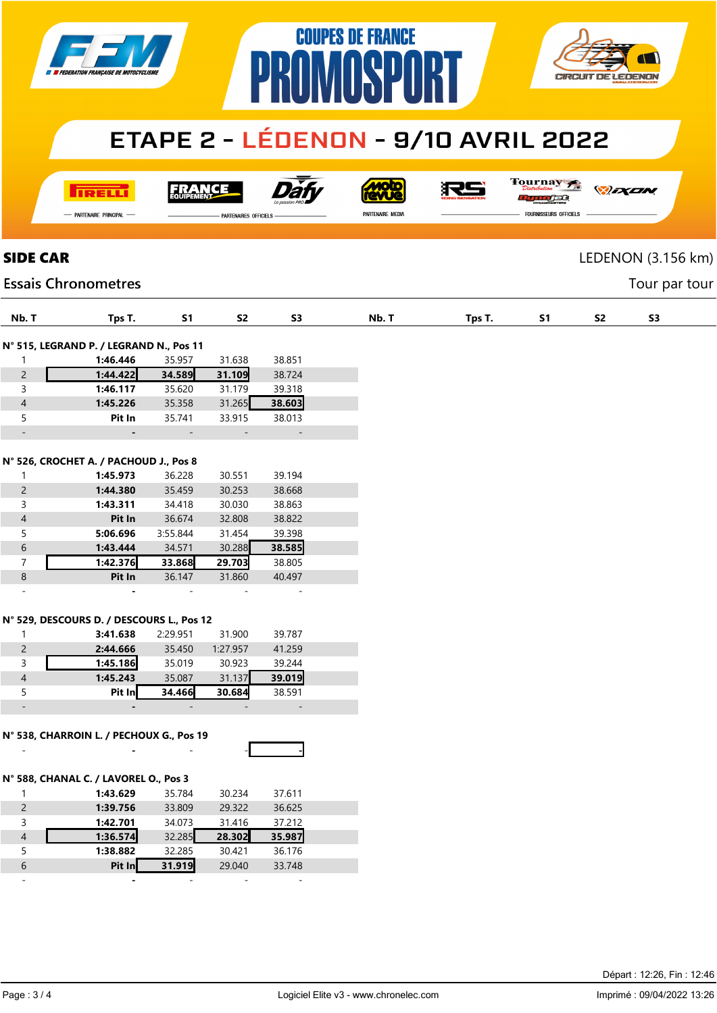| <b>EN EXPERIENCE AND FRANÇAISE DE MOTOCYCLISME</b> |  |
|----------------------------------------------------|--|
|                                                    |  |





# **ETAPE 2 - LÉDENON - 9/10 AVRIL 2022**

**TRELLI** 

FRANCE

Dàt

**MOLO** 

RS

Tournay *DEXEN* orse

- Partenaire Principal

PARTENAIRES OFFICIELS

PARTENAIRE MEDIA

**FOURNISSEURS OFFICIELS** 

SIDE CAR LEDENON (3.156 km)

Tour par tour

### **Essais Chronometres**

| Nb. T                                  | Tps T.                                    | <b>S1</b>        | S2                       | S <sub>3</sub>           | Nb. T |  | Tps T. | <b>S1</b> | S <sub>2</sub> |  |
|----------------------------------------|-------------------------------------------|------------------|--------------------------|--------------------------|-------|--|--------|-----------|----------------|--|
|                                        |                                           |                  |                          |                          |       |  |        |           |                |  |
|                                        | N° 515, LEGRAND P. / LEGRAND N., Pos 11   |                  | 31.638                   |                          |       |  |        |           |                |  |
| $\mathbf{1}$<br>$\overline{c}$         | 1:46.446<br>1:44.422                      | 35.957<br>34.589 | 31.109                   | 38.851<br>38.724         |       |  |        |           |                |  |
| 3                                      | 1:46.117                                  | 35.620           | 31.179                   | 39.318                   |       |  |        |           |                |  |
| $\overline{4}$                         | 1:45.226                                  | 35.358           | 31.265                   | 38.603                   |       |  |        |           |                |  |
| 5                                      | Pit In                                    | 35.741           | 33.915                   | 38.013                   |       |  |        |           |                |  |
| $\Box$                                 | $\blacksquare$                            | $\Box$           | $\sim$                   | $\overline{\phantom{a}}$ |       |  |        |           |                |  |
|                                        |                                           |                  |                          |                          |       |  |        |           |                |  |
| N° 526, CROCHET A. / PACHOUD J., Pos 8 |                                           |                  |                          |                          |       |  |        |           |                |  |
| $\mathbf{1}$                           | 1:45.973                                  | 36.228           | 30.551                   | 39.194                   |       |  |        |           |                |  |
| $\overline{2}$                         | 1:44.380                                  | 35.459           | 30.253                   | 38.668                   |       |  |        |           |                |  |
| 3                                      | 1:43.311                                  | 34.418           | 30.030                   | 38.863                   |       |  |        |           |                |  |
| $\overline{4}$                         | Pit In                                    | 36.674           | 32.808                   | 38.822                   |       |  |        |           |                |  |
| 5                                      | 5:06.696                                  | 3:55.844         | 31.454                   | 39.398                   |       |  |        |           |                |  |
| $\sqrt{6}$                             | 1:43.444                                  | 34.571           | 30.288                   | 38.585                   |       |  |        |           |                |  |
| $\overline{7}$                         | 1:42.376                                  | 33.868           | 29.703                   | 38.805                   |       |  |        |           |                |  |
| $\bf 8$                                | Pit In                                    | 36.147           | 31.860                   | 40.497                   |       |  |        |           |                |  |
| $\overline{\phantom{a}}$               |                                           |                  |                          | $\overline{\phantom{a}}$ |       |  |        |           |                |  |
|                                        |                                           |                  |                          |                          |       |  |        |           |                |  |
|                                        | N° 529, DESCOURS D. / DESCOURS L., Pos 12 |                  |                          |                          |       |  |        |           |                |  |
| $\mathbf{1}$                           | 3:41.638                                  | 2:29.951         | 31.900                   | 39.787                   |       |  |        |           |                |  |
| $\overline{c}$                         | 2:44.666                                  | 35.450           | 1:27.957                 | 41.259                   |       |  |        |           |                |  |
| 3                                      | 1:45.186                                  | 35.019           | 30.923                   | 39.244                   |       |  |        |           |                |  |
| $\overline{4}$                         | 1:45.243                                  | 35.087           | 31.137                   | 39.019                   |       |  |        |           |                |  |
| 5                                      | Pit In                                    | 34.466           | 30.684                   | 38.591                   |       |  |        |           |                |  |
| $\overline{\phantom{a}}$               |                                           | $\equiv$         | ÷.                       | $\sim$                   |       |  |        |           |                |  |
|                                        |                                           |                  |                          |                          |       |  |        |           |                |  |
|                                        | N° 538, CHARROIN L. / PECHOUX G., Pos 19  |                  |                          |                          |       |  |        |           |                |  |
|                                        |                                           |                  |                          |                          |       |  |        |           |                |  |
|                                        |                                           |                  |                          |                          |       |  |        |           |                |  |
|                                        | N° 588, CHANAL C. / LAVOREL O., Pos 3     |                  |                          |                          |       |  |        |           |                |  |
| $\mathbf{1}$                           | 1:43.629                                  | 35.784           | 30.234                   | 37.611                   |       |  |        |           |                |  |
| $\overline{2}$                         | 1:39.756                                  | 33.809<br>34.073 | 29.322                   | 36.625                   |       |  |        |           |                |  |
| 3<br>$\overline{4}$                    | 1:42.701                                  |                  | 31.416<br>28.302         | 37.212                   |       |  |        |           |                |  |
| 5                                      | 1:36.574<br>1:38.882                      | 32.285<br>32.285 | 30.421                   | 35.987<br>36.176         |       |  |        |           |                |  |
| $\sqrt{6}$                             | Pit In                                    | 31.919           |                          | 33.748                   |       |  |        |           |                |  |
| $\equiv$                               |                                           | $\overline{a}$   | 29.040                   | $\sim$                   |       |  |        |           |                |  |
|                                        |                                           |                  | $\overline{\phantom{a}}$ |                          |       |  |        |           |                |  |